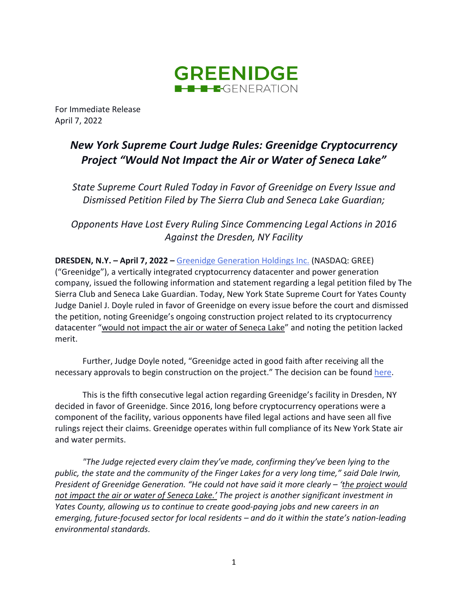

For Immediate Release April 7, 2022

## *New York Supreme Court Judge Rules: Greenidge Cryptocurrency Project "Would Not Impact the Air or Water of Seneca Lake"*

*State Supreme Court Ruled Today in Favor of Greenidge on Every Issue and Dismissed Petition Filed by The Sierra Club and Seneca Lake Guardian;*

*Opponents Have Lost Every Ruling Since Commencing Legal Actions in 2016 Against the Dresden, NY Facility*

**DRESDEN, N.Y. – April 7, 2022 –** [Greenidge Generation Holdings Inc.](https://greenidge.com/) (NASDAQ: GREE) ("Greenidge"), a vertically integrated cryptocurrency datacenter and power generation company, issued the following information and statement regarding a legal petition filed by The Sierra Club and Seneca Lake Guardian. Today, New York State Supreme Court for Yates County Judge Daniel J. Doyle ruled in favor of Greenidge on every issue before the court and dismissed the petition, noting Greenidge's ongoing construction project related to its cryptocurrency datacenter "would not impact the air or water of Seneca Lake" and noting the petition lacked merit.

Further, Judge Doyle noted, "Greenidge acted in good faith after receiving all the necessary approvals to begin construction on the project." The decision can be found [here.](https://iapps.courts.state.ny.us/nyscef/ViewDocument?docIndex=hRMCTXObxvlBTa4cRLG6mA==)

This is the fifth consecutive legal action regarding Greenidge's facility in Dresden, NY decided in favor of Greenidge. Since 2016, long before cryptocurrency operations were a component of the facility, various opponents have filed legal actions and have seen all five rulings reject their claims. Greenidge operates within full compliance of its New York State air and water permits.

*"The Judge rejected every claim they've made, confirming they've been lying to the public, the state and the community of the Finger Lakes for a very long time," said Dale Irwin, President of Greenidge Generation. "He could not have said it more clearly – 'the project would not impact the air or water of Seneca Lake.' The project is another significant investment in Yates County, allowing us to continue to create good-paying jobs and new careers in an emerging, future-focused sector for local residents – and do it within the state's nation-leading environmental standards.*